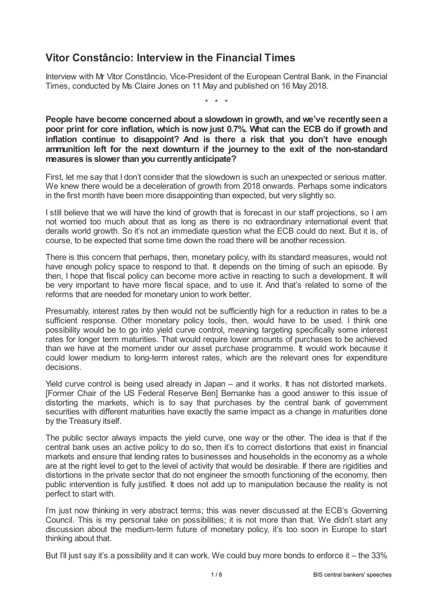# **Vítor Constâncio: Interview in the Financial Times**

Interview with Mr Vítor Constâncio, Vice-President of the European Central Bank, in the Financial Times, conducted by Ms Claire Jones on 11 May and published on 16 May 2018.

\* \* \*

**People have become concerned about a slowdown in growth, and we've recently seen a poor print for core inflation, which is now just 0.7%. What can the ECB do if growth and inflation continue to disappoint? And is there a risk that you don't have enough ammunition left for the next downturn if the journey to the exit of the non-standard measures is slower than you currentlyanticipate?**

First, let me say that I don't consider that the slowdown is such an unexpected or serious matter. We knew there would be a deceleration of growth from 2018 onwards. Perhaps some indicators in the first month have been more disappointing than expected, but very slightly so.

I still believe that we will have the kind of growth that is forecast in our staff projections, so I am not worried too much about that as long as there is no extraordinary international event that derails world growth. So it's not an immediate question what the ECB could do next. But it is, of course, to be expected that some time down the road there will be another recession.

There is this concern that perhaps, then, monetary policy, with its standard measures, would not have enough policy space to respond to that. It depends on the timing of such an episode. By then, I hope that fiscal policy can become more active in reacting to such a development. It will be very important to have more fiscal space, and to use it. And that's related to some of the reforms that are needed for monetary union to work better.

Presumably, interest rates by then would not be sufficiently high for a reduction in rates to be a sufficient response. Other monetary policy tools, then, would have to be used. I think one possibility would be to go into yield curve control, meaning targeting specifically some interest rates for longer term maturities. That would require lower amounts of purchases to be achieved than we have at the moment under our asset purchase programme. It would work because it could lower medium to long-term interest rates, which are the relevant ones for expenditure decisions.

Yield curve control is being used already in Japan – and it works. It has not distorted markets. [Former Chair of the US Federal Reserve Ben] Bernanke has a good answer to this issue of distorting the markets, which is to say that purchases by the central bank of government securities with different maturities have exactly the same impact as a change in maturities done by the Treasury itself.

The public sector always impacts the yield curve, one way or the other. The idea is that if the central bank uses an active policy to do so, then it's to correct distortions that exist in financial markets and ensure that lending rates to businesses and households in the economy as a whole are at the right level to get to the level of activity that would be desirable. If there are rigidities and distortions in the private sector that do not engineer the smooth functioning of the economy, then public intervention is fully justified. It does not add up to manipulation because the reality is not perfect to start with.

I'm just now thinking in very abstract terms; this was never discussed at the ECB's Governing Council. This is my personal take on possibilities; it is not more than that. We didn't start any discussion about the medium-term future of monetary policy, it's too soon in Europe to start thinking about that.

But I'll just say it's a possibility and it can work. We could buy more bonds to enforce it – the 33%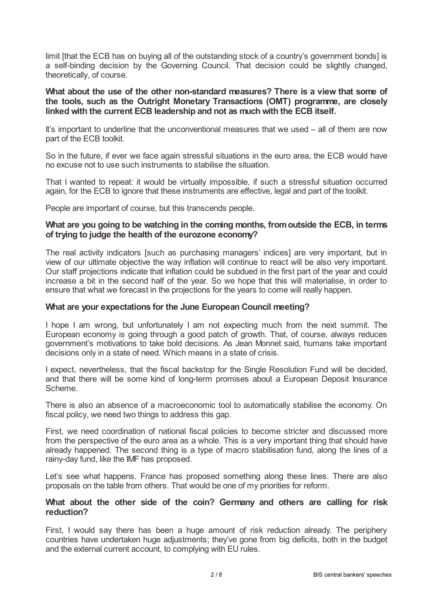limit [that the ECB has on buying all of the outstanding stock of a country's government bonds] is a self-binding decision by the Governing Council. That decision could be slightly changed, theoretically, of course.

#### **What about the use of the other non-standard measures? There is a view that some of the tools, such as the Outright Monetary Transactions (OMT) programme, are closely linked with the current ECB leadership and not as much with the ECB itself.**

It's important to underline that the unconventional measures that we used – all of them are now part of the ECB toolkit.

So in the future, if ever we face again stressful situations in the euro area, the ECB would have no excuse not to use such instruments to stabilise the situation.

That I wanted to repeat: it would be virtually impossible, if such a stressful situation occurred again, for the ECB to ignore that these instruments are effective, legal and part of the toolkit.

People are important of course, but this transcends people.

### **What are you going to be watching in the coming months, fromoutside the ECB, in terms of trying to judge the health of the eurozone economy?**

The real activity indicators [such as purchasing managers' indices] are very important, but in view of our ultimate objective the way inflation will continue to react will be also very important. Our staff projections indicate that inflation could be subdued in the first part of the year and could increase a bit in the second half of the year. So we hope that this will materialise, in order to ensure that what we forecast in the projections for the years to come will really happen.

#### **What are your expectations for the June European Council meeting?**

I hope I am wrong, but unfortunately I am not expecting much from the next summit. The European economy is going through a good patch of growth. That, of course, always reduces government's motivations to take bold decisions. As Jean Monnet said, humans take important decisions only in a state of need. Which means in a state of crisis.

I expect, nevertheless, that the fiscal backstop for the Single Resolution Fund will be decided, and that there will be some kind of long-term promises about a European Deposit Insurance Scheme.

There is also an absence of a macroeconomic tool to automatically stabilise the economy. On fiscal policy, we need two things to address this gap.

First, we need coordination of national fiscal policies to become stricter and discussed more from the perspective of the euro area as a whole. This is a very important thing that should have already happened. The second thing is a type of macro stabilisation fund, along the lines of a rainy-day fund, like the IMF has proposed.

Let's see what happens. France has proposed something along these lines. There are also proposals on the table from others. That would be one of my priorities for reform.

#### **What about the other side of the coin? Germany and others are calling for risk reduction?**

First, I would say there has been a huge amount of risk reduction already. The periphery countries have undertaken huge adjustments; they've gone from big deficits, both in the budget and the external current account, to complying with EU rules.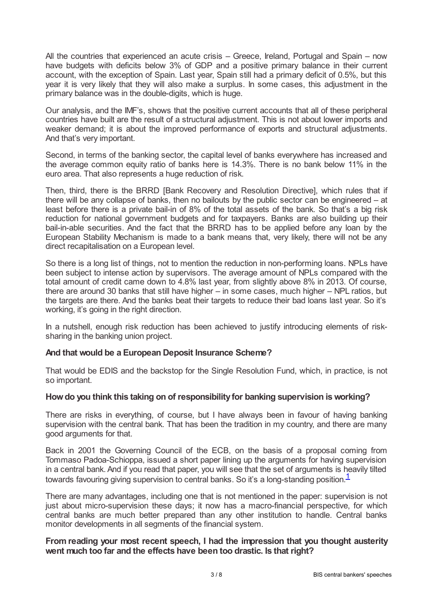All the countries that experienced an acute crisis – Greece, Ireland, Portugal and Spain – now have budgets with deficits below 3% of GDP and a positive primary balance in their current account, with the exception of Spain. Last year, Spain still had a primary deficit of 0.5%, but this year it is very likely that they will also make a surplus. In some cases, this adjustment in the primary balance was in the double-digits, which is huge.

Our analysis, and the IMF's, shows that the positive current accounts that all of these peripheral countries have built are the result of a structural adjustment. This is not about lower imports and weaker demand; it is about the improved performance of exports and structural adjustments. And that's very important.

Second, in terms of the banking sector, the capital level of banks everywhere has increased and the average common equity ratio of banks here is 14.3%. There is no bank below 11% in the euro area. That also represents a huge reduction of risk.

Then, third, there is the BRRD [Bank Recovery and Resolution Directive], which rules that if there will be any collapse of banks, then no bailouts by the public sector can be engineered – at least before there is a private bail-in of 8% of the total assets of the bank. So that's a big risk reduction for national government budgets and for taxpayers. Banks are also building up their bail-in-able securities. And the fact that the BRRD has to be applied before any loan by the European Stability Mechanism is made to a bank means that, very likely, there will not be any direct recapitalisation on a European level.

So there is a long list of things, not to mention the reduction in non-performing loans. NPLs have been subject to intense action by supervisors. The average amount of NPLs compared with the total amount of credit came down to 4.8% last year, from slightly above 8% in 2013. Of course, there are around 30 banks that still have higher – in some cases, much higher – NPL ratios, but the targets are there. And the banks beat their targets to reduce their bad loans last year. So it's working, it's going in the right direction.

In a nutshell, enough risk reduction has been achieved to justify introducing elements of risksharing in the banking union project.

## **And that would be a European Deposit Insurance Scheme?**

That would be EDIS and the backstop for the Single Resolution Fund, which, in practice, is not so important.

#### **Howdo you think this taking on of responsibilityfor banking supervision isworking?**

There are risks in everything, of course, but I have always been in favour of having banking supervision with the central bank. That has been the tradition in my country, and there are many good arguments for that.

Back in 2001 the Governing Council of the ECB, on the basis of a proposal coming from Tommaso Padoa-Schioppa, issued a short paper lining up the arguments for having supervision in a central bank. And if you read that paper, you will see that the set of arguments is heavily tilted towards favouring giving supervision to central banks. So it's a long-standing position.<sup>[1](#page-7-0)</sup>

<span id="page-2-0"></span>There are many advantages, including one that is not mentioned in the paper: supervision is not just about micro-supervision these days; it now has a macro-financial perspective, for which central banks are much better prepared than any other institution to handle. Central banks monitor developments in all segments of the financial system.

## **From reading your most recent speech, I had the impression that you thought austerity went much too far and the effects have been too drastic. Is that right?**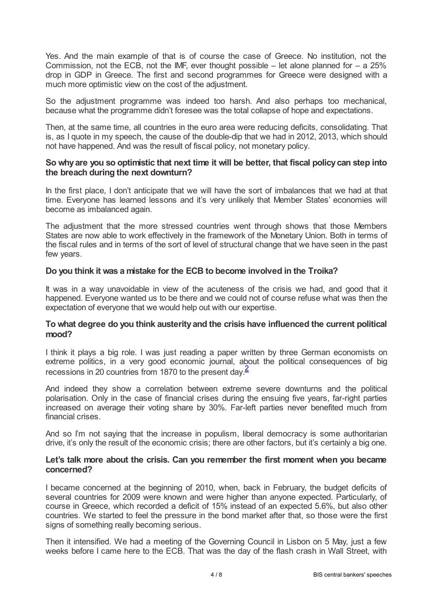Yes. And the main example of that is of course the case of Greece. No institution, not the Commission, not the ECB, not the IMF, ever thought possible – let alone planned for  $-$  a 25% drop in GDP in Greece. The first and second programmes for Greece were designed with a much more optimistic view on the cost of the adjustment.

So the adjustment programme was indeed too harsh. And also perhaps too mechanical, because what the programme didn't foresee was the total collapse of hope and expectations.

Then, at the same time, all countries in the euro area were reducing deficits, consolidating. That is, as I quote in my speech, the cause of the double-dip that we had in 2012, 2013, which should not have happened. And was the result of fiscal policy, not monetary policy.

#### **So whyare you so optimistic that next time it will be better, that fiscal policycan step into the breach during the next downturn?**

In the first place, I don't anticipate that we will have the sort of imbalances that we had at that time. Everyone has learned lessons and it's very unlikely that Member States' economies will become as imbalanced again.

The adjustment that the more stressed countries went through shows that those Members States are now able to work effectively in the framework of the Monetary Union. Both in terms of the fiscal rules and in terms of the sort of level of structural change that we have seen in the past few years.

## **Do you think it was a mistake for the ECB to become involved in the Troika?**

It was in a way unavoidable in view of the acuteness of the crisis we had, and good that it happened. Everyone wanted us to be there and we could not of course refuse what was then the expectation of everyone that we would help out with our expertise.

#### **To what degree do you think austerityand the crisis have influenced the current political mood?**

I think it plays a big role. I was just reading a paper written by three German economists on extreme politics, in a very good economic journal, about the political consequences of big recessions in [2](#page-7-1)0 countries from 1870 to the present day.<sup>2</sup>

<span id="page-3-0"></span>And indeed they show a correlation between extreme severe downturns and the political polarisation. Only in the case of financial crises during the ensuing five years, far-right parties increased on average their voting share by 30%. Far-left parties never benefited much from financial crises.

And so I'm not saying that the increase in populism, liberal democracy is some authoritarian drive, it's only the result of the economic crisis; there are other factors, but it's certainly a big one.

#### **Let's talk more about the crisis. Can you remember the first moment when you became concerned?**

I became concerned at the beginning of 2010, when, back in February, the budget deficits of several countries for 2009 were known and were higher than anyone expected. Particularly, of course in Greece, which recorded a deficit of 15% instead of an expected 5.6%, but also other countries. We started to feel the pressure in the bond market after that, so those were the first signs of something really becoming serious.

Then it intensified. We had a meeting of the Governing Council in Lisbon on 5 May, just a few weeks before I came here to the ECB. That was the day of the flash crash in Wall Street, with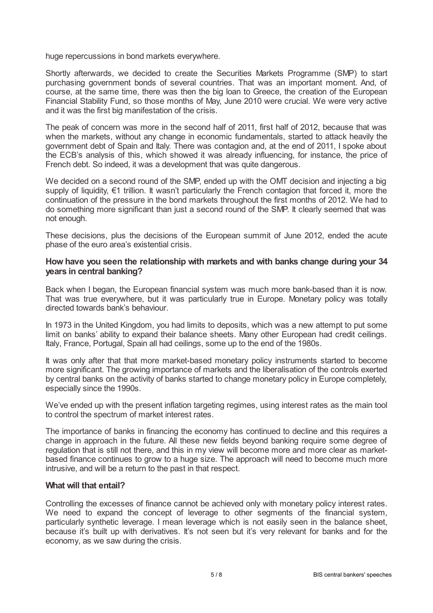huge repercussions in bond markets everywhere.

Shortly afterwards, we decided to create the Securities Markets Programme (SMP) to start purchasing government bonds of several countries. That was an important moment. And, of course, at the same time, there was then the big loan to Greece, the creation of the European Financial Stability Fund, so those months of May, June 2010 were crucial. We were very active and it was the first big manifestation of the crisis.

The peak of concern was more in the second half of 2011, first half of 2012, because that was when the markets, without any change in economic fundamentals, started to attack heavily the government debt of Spain and Italy. There was contagion and, at the end of 2011, I spoke about the ECB's analysis of this, which showed it was already influencing, for instance, the price of French debt. So indeed, it was a development that was quite dangerous.

We decided on a second round of the SMP, ended up with the OMT decision and injecting a big supply of liquidity, €1 trillion. It wasn't particularly the French contagion that forced it, more the continuation of the pressure in the bond markets throughout the first months of 2012. We had to do something more significant than just a second round of the SMP. It clearly seemed that was not enough.

These decisions, plus the decisions of the European summit of June 2012, ended the acute phase of the euro area's existential crisis.

#### **How have you seen the relationship with markets and with banks change during your 34 years in central banking?**

Back when I began, the European financial system was much more bank-based than it is now. That was true everywhere, but it was particularly true in Europe. Monetary policy was totally directed towards bank's behaviour.

In 1973 in the United Kingdom, you had limits to deposits, which was a new attempt to put some limit on banks' ability to expand their balance sheets. Many other European had credit ceilings. Italy, France, Portugal, Spain all had ceilings, some up to the end of the 1980s.

It was only after that that more market-based monetary policy instruments started to become more significant. The growing importance of markets and the liberalisation of the controls exerted by central banks on the activity of banks started to change monetary policy in Europe completely, especially since the 1990s.

We've ended up with the present inflation targeting regimes, using interest rates as the main tool to control the spectrum of market interest rates.

The importance of banks in financing the economy has continued to decline and this requires a change in approach in the future. All these new fields beyond banking require some degree of regulation that is still not there, and this in my view will become more and more clear as marketbased finance continues to grow to a huge size. The approach will need to become much more intrusive, and will be a return to the past in that respect.

#### **What will that entail?**

Controlling the excesses of finance cannot be achieved only with monetary policy interest rates. We need to expand the concept of leverage to other segments of the financial system, particularly synthetic leverage. I mean leverage which is not easily seen in the balance sheet, because it's built up with derivatives. It's not seen but it's very relevant for banks and for the economy, as we saw during the crisis.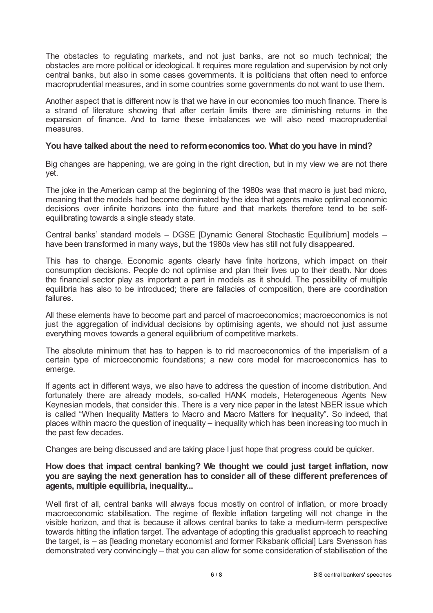The obstacles to regulating markets, and not just banks, are not so much technical; the obstacles are more political or ideological. It requires more regulation and supervision by not only central banks, but also in some cases governments. It is politicians that often need to enforce macroprudential measures, and in some countries some governments do not want to use them.

Another aspect that is different now is that we have in our economies too much finance. There is a strand of literature showing that after certain limits there are diminishing returns in the expansion of finance. And to tame these imbalances we will also need macroprudential measures.

#### **You have talked about the need to reformeconomics too. What do you have in mind?**

Big changes are happening, we are going in the right direction, but in my view we are not there yet.

The joke in the American camp at the beginning of the 1980s was that macro is just bad micro, meaning that the models had become dominated by the idea that agents make optimal economic decisions over infinite horizons into the future and that markets therefore tend to be selfequilibrating towards a single steady state.

Central banks' standard models – DGSE [Dynamic General Stochastic Equilibrium] models – have been transformed in many ways, but the 1980s view has still not fully disappeared.

This has to change. Economic agents clearly have finite horizons, which impact on their consumption decisions. People do not optimise and plan their lives up to their death. Nor does the financial sector play as important a part in models as it should. The possibility of multiple equilibria has also to be introduced; there are fallacies of composition, there are coordination failures.

All these elements have to become part and parcel of macroeconomics; macroeconomics is not just the aggregation of individual decisions by optimising agents, we should not just assume everything moves towards a general equilibrium of competitive markets.

The absolute minimum that has to happen is to rid macroeconomics of the imperialism of a certain type of microeconomic foundations; a new core model for macroeconomics has to emerge.

If agents act in different ways, we also have to address the question of income distribution. And fortunately there are already models, so-called HANK models, Heterogeneous Agents New Keynesian models, that consider this. There is a very nice paper in the latest NBER issue which is called "When Inequality Matters to Macro and Macro Matters for Inequality". So indeed, that places within macro the question of inequality – inequality which has been increasing too much in the past few decades.

Changes are being discussed and are taking place I just hope that progress could be quicker.

## **How does that impact central banking? We thought we could just target inflation, now you are saying the next generation has to consider all of these different preferences of agents, multiple equilibria, inequality...**

Well first of all, central banks will always focus mostly on control of inflation, or more broadly macroeconomic stabilisation. The regime of flexible inflation targeting will not change in the visible horizon, and that is because it allows central banks to take a medium-term perspective towards hitting the inflation target. The advantage of adopting this gradualist approach to reaching the target, is – as [leading monetary economist and former Riksbank official] Lars Svensson has demonstrated very convincingly – that you can allow for some consideration of stabilisation of the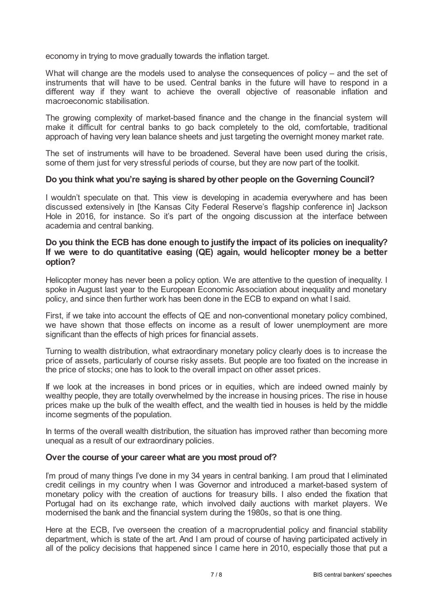economy in trying to move gradually towards the inflation target.

What will change are the models used to analyse the consequences of policy – and the set of instruments that will have to be used. Central banks in the future will have to respond in a different way if they want to achieve the overall objective of reasonable inflation and macroeconomic stabilisation.

The growing complexity of market-based finance and the change in the financial system will make it difficult for central banks to go back completely to the old, comfortable, traditional approach of having very lean balance sheets and just targeting the overnight money market rate.

The set of instruments will have to be broadened. Several have been used during the crisis, some of them just for very stressful periods of course, but they are now part of the toolkit.

#### **Do you thinkwhat you're saying is shared byother people on the Governing Council?**

I wouldn't speculate on that. This view is developing in academia everywhere and has been discussed extensively in [the Kansas City Federal Reserve's flagship conference in] Jackson Hole in 2016, for instance. So it's part of the ongoing discussion at the interface between academia and central banking.

### **Do you think the ECB has done enough to justify the impact of its policies on inequality? If we were to do quantitative easing (QE) again, would helicopter money be a better option?**

Helicopter money has never been a policy option. We are attentive to the question of inequality. I spoke in August last year to the European Economic Association about inequality and monetary policy, and since then further work has been done in the ECB to expand on what I said.

First, if we take into account the effects of QE and non-conventional monetary policy combined, we have shown that those effects on income as a result of lower unemployment are more significant than the effects of high prices for financial assets.

Turning to wealth distribution, what extraordinary monetary policy clearly does is to increase the price of assets, particularly of course risky assets. But people are too fixated on the increase in the price of stocks; one has to look to the overall impact on other asset prices.

If we look at the increases in bond prices or in equities, which are indeed owned mainly by wealthy people, they are totally overwhelmed by the increase in housing prices. The rise in house prices make up the bulk of the wealth effect, and the wealth tied in houses is held by the middle income segments of the population.

In terms of the overall wealth distribution, the situation has improved rather than becoming more unequal as a result of our extraordinary policies.

#### **Over the course of your career what are you most proud of?**

I'm proud of many things I've done in my 34 years in central banking. I am proud that I eliminated credit ceilings in my country when I was Governor and introduced a market-based system of monetary policy with the creation of auctions for treasury bills. I also ended the fixation that Portugal had on its exchange rate, which involved daily auctions with market players. We modernised the bank and the financial system during the 1980s, so that is one thing.

Here at the ECB, I've overseen the creation of a macroprudential policy and financial stability department, which is state of the art. And I am proud of course of having participated actively in all of the policy decisions that happened since I came here in 2010, especially those that put a